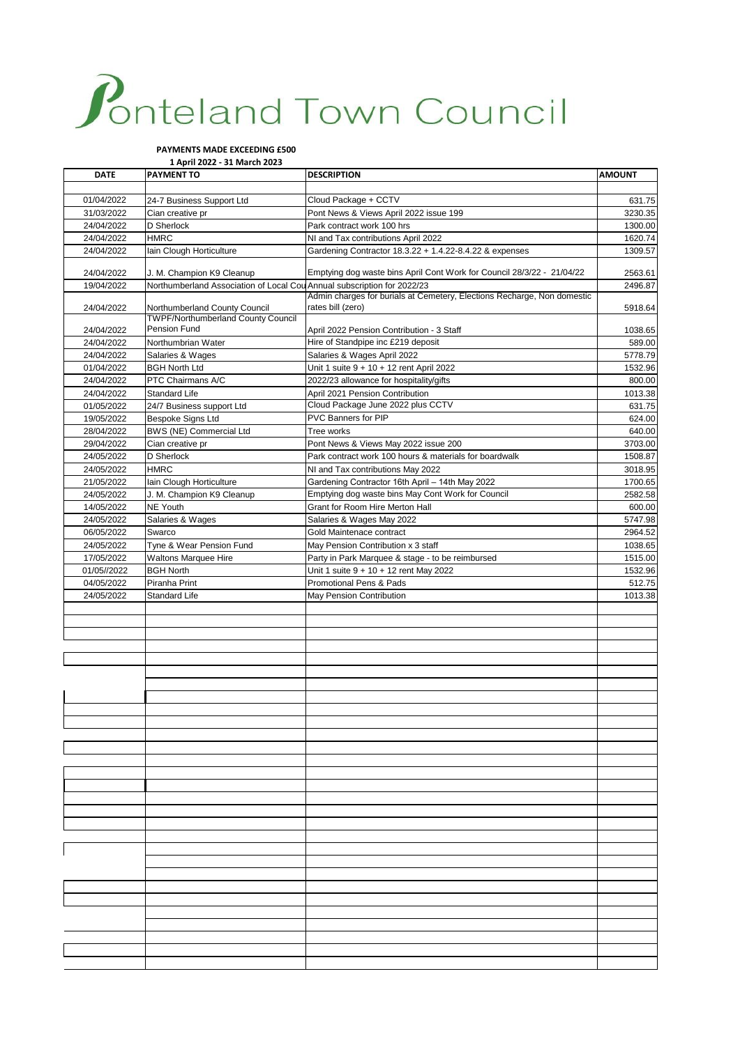## Ponteland Town Council

## **PAYMENTS MADE EXCEEDING £500**

**1 April 2022 - 31 March 2023**

| <b>DATE</b>              | <b>PAYMENT TO</b>                                                          | <b>DESCRIPTION</b>                                                                   | <b>AMOUNT</b>      |
|--------------------------|----------------------------------------------------------------------------|--------------------------------------------------------------------------------------|--------------------|
|                          |                                                                            |                                                                                      |                    |
| 01/04/2022               | 24-7 Business Support Ltd                                                  | Cloud Package + CCTV                                                                 | 631.75             |
| 31/03/2022               | Cian creative pr                                                           | Pont News & Views April 2022 issue 199                                               | 3230.35            |
| 24/04/2022               | D Sherlock                                                                 | Park contract work 100 hrs                                                           | 1300.00            |
| 24/04/2022               | <b>HMRC</b>                                                                | NI and Tax contributions April 2022                                                  | 1620.74            |
| 24/04/2022               | lain Clough Horticulture                                                   | Gardening Contractor 18.3.22 + 1.4.22-8.4.22 & expenses                              | 1309.57            |
|                          |                                                                            |                                                                                      |                    |
| 24/04/2022               | J. M. Champion K9 Cleanup                                                  | Emptying dog waste bins April Cont Work for Council 28/3/22 - 21/04/22               | 2563.61            |
| 19/04/2022               | Northumberland Association of Local Cou Annual subscription for 2022/23    |                                                                                      | 2496.87            |
|                          |                                                                            | Admin charges for burials at Cemetery, Elections Recharge, Non domestic              |                    |
| 24/04/2022               | Northumberland County Council<br><b>TWPF/Northumberland County Council</b> | rates bill (zero)                                                                    | 5918.64            |
| 24/04/2022               | Pension Fund                                                               | April 2022 Pension Contribution - 3 Staff                                            | 1038.65            |
| 24/04/2022               | Northumbrian Water                                                         | Hire of Standpipe inc £219 deposit                                                   | 589.00             |
| 24/04/2022               | Salaries & Wages                                                           | Salaries & Wages April 2022                                                          | 5778.79            |
| 01/04/2022               | <b>BGH North Ltd</b>                                                       | Unit 1 suite 9 + 10 + 12 rent April 2022                                             | 1532.96            |
| 24/04/2022               | PTC Chairmans A/C                                                          | 2022/23 allowance for hospitality/gifts                                              | 800.00             |
| 24/04/2022               | Standard Life                                                              | April 2021 Pension Contribution                                                      | 1013.38            |
| 01/05/2022               | 24/7 Business support Ltd                                                  | Cloud Package June 2022 plus CCTV                                                    | 631.75             |
| 19/05/2022               | Bespoke Signs Ltd                                                          | PVC Banners for PIP                                                                  | 624.00             |
| 28/04/2022               | BWS (NE) Commercial Ltd                                                    | Tree works                                                                           |                    |
|                          |                                                                            | Pont News & Views May 2022 issue 200                                                 | 640.00             |
| 29/04/2022<br>24/05/2022 | Cian creative pr<br>D Sherlock                                             | Park contract work 100 hours & materials for boardwalk                               | 3703.00<br>1508.87 |
| 24/05/2022               | <b>HMRC</b>                                                                |                                                                                      | 3018.95            |
|                          | lain Clough Horticulture                                                   | NI and Tax contributions May 2022<br>Gardening Contractor 16th April - 14th May 2022 |                    |
| 21/05/2022               | J. M. Champion K9 Cleanup                                                  | Emptying dog waste bins May Cont Work for Council                                    | 1700.65            |
| 24/05/2022               | <b>NE Youth</b>                                                            | Grant for Room Hire Merton Hall                                                      | 2582.58            |
| 14/05/2022<br>24/05/2022 |                                                                            | Salaries & Wages May 2022                                                            | 600.00             |
| 06/05/2022               | Salaries & Wages                                                           | Gold Maintenace contract                                                             | 5747.98<br>2964.52 |
|                          | Swarco                                                                     |                                                                                      |                    |
| 24/05/2022               | Tyne & Wear Pension Fund                                                   | May Pension Contribution x 3 staff                                                   | 1038.65            |
| 17/05/2022               | <b>Waltons Marquee Hire</b>                                                | Party in Park Marquee & stage - to be reimbursed                                     | 1515.00            |
| 01/05//2022              | <b>BGH North</b>                                                           | Unit 1 suite 9 + 10 + 12 rent May 2022<br>Promotional Pens & Pads                    | 1532.96            |
| 04/05/2022               | Piranha Print                                                              |                                                                                      | 512.75             |
| 24/05/2022               | Standard Life                                                              | May Pension Contribution                                                             | 1013.38            |
|                          |                                                                            |                                                                                      |                    |
|                          |                                                                            |                                                                                      |                    |
|                          |                                                                            |                                                                                      |                    |
|                          |                                                                            |                                                                                      |                    |
|                          |                                                                            |                                                                                      |                    |
|                          |                                                                            |                                                                                      |                    |
|                          |                                                                            |                                                                                      |                    |
|                          |                                                                            |                                                                                      |                    |
|                          |                                                                            |                                                                                      |                    |
|                          |                                                                            |                                                                                      |                    |
|                          |                                                                            |                                                                                      |                    |
|                          |                                                                            |                                                                                      |                    |
|                          |                                                                            |                                                                                      |                    |
|                          |                                                                            |                                                                                      |                    |
|                          |                                                                            |                                                                                      |                    |
|                          |                                                                            |                                                                                      |                    |
|                          |                                                                            |                                                                                      |                    |
|                          |                                                                            |                                                                                      |                    |
|                          |                                                                            |                                                                                      |                    |
|                          |                                                                            |                                                                                      |                    |
|                          |                                                                            |                                                                                      |                    |
|                          |                                                                            |                                                                                      |                    |
|                          |                                                                            |                                                                                      |                    |
|                          |                                                                            |                                                                                      |                    |
|                          |                                                                            |                                                                                      |                    |
|                          |                                                                            |                                                                                      |                    |
|                          |                                                                            |                                                                                      |                    |
|                          |                                                                            |                                                                                      |                    |
|                          |                                                                            |                                                                                      |                    |